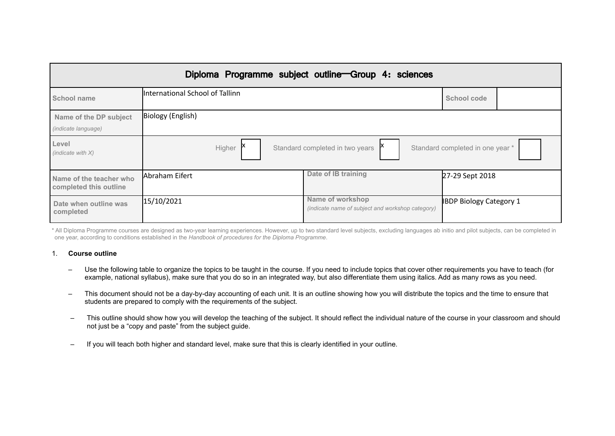|                                                   |                                 | Diploma Programme subject outline Group 4: sciences                  |                                  |
|---------------------------------------------------|---------------------------------|----------------------------------------------------------------------|----------------------------------|
| School name                                       | International School of Tallinn |                                                                      | School code                      |
| Name of the DP subject<br>(indicate language)     | Biology (English)               |                                                                      |                                  |
| Level<br>(indicate with $X$ )                     | Higher                          | Standard completed in two years                                      | Standard completed in one year * |
| Name of the teacher who<br>completed this outline | lAbraham Eifert                 | Date of IB training                                                  | 27-29 Sept 2018                  |
| Date when outline was<br>completed                | 15/10/2021                      | Name of workshop<br>(indicate name of subject and workshop category) | <b>IBDP Biology Category 1</b>   |

\* All Diploma Programme courses are designed as two-year learning experiences. However, up to two standard level subjects, excluding languages ab initio and pilot subjects, can be completed in one year, according to conditions established in the *Handbook of procedures for the Diploma Programme*.

#### 1. **Course outline**

- Use the following table to organize the topics to be taught in the course. If you need to include topics that cover other requirements you have to teach (for example, national syllabus), make sure that you do so in an integrated way, but also differentiate them using italics. Add as many rows as you need.
- This document should not be a day-by-day accounting of each unit. It is an outline showing how you will distribute the topics and the time to ensure that students are prepared to comply with the requirements of the subject.
- This outline should show how you will develop the teaching of the subject. It should reflect the individual nature of the course in your classroom and should not just be a "copy and paste" from the subject guide.
- If you will teach both higher and standard level, make sure that this is clearly identified in your outline.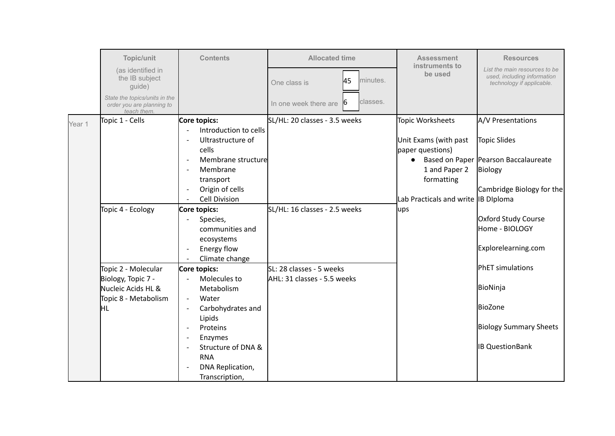|        | Topic/unit                                                                | <b>Contents</b>                                                                                                        | <b>Allocated time</b>                                   | <b>Assessment</b>                         | <b>Resources</b>                                                                          |
|--------|---------------------------------------------------------------------------|------------------------------------------------------------------------------------------------------------------------|---------------------------------------------------------|-------------------------------------------|-------------------------------------------------------------------------------------------|
|        | (as identified in<br>the IB subject<br>guide)                             |                                                                                                                        | 45<br>minutes.<br>One class is                          | instruments to<br>be used                 | List the main resources to be<br>used, including information<br>technology if applicable. |
|        | State the topics/units in the<br>order you are planning to<br>teach them. |                                                                                                                        | classes.<br>ľб<br>In one week there are                 |                                           |                                                                                           |
| Year 1 | Topic 1 - Cells                                                           | Core topics:                                                                                                           | SL/HL: 20 classes - 3.5 weeks                           | <b>Topic Worksheets</b>                   | A/V Presentations                                                                         |
|        |                                                                           | Introduction to cells<br>Ultrastructure of<br>$\overline{\phantom{a}}$<br>cells                                        |                                                         | Unit Exams (with past<br>paper questions) | <b>Topic Slides</b>                                                                       |
|        |                                                                           | Membrane structure<br>$\overline{\phantom{a}}$<br>Membrane<br>transport                                                |                                                         | $\bullet$<br>1 and Paper 2<br>formatting  | Based on Paper   Pearson Baccalaureate<br>Biology                                         |
|        |                                                                           | Origin of cells<br><b>Cell Division</b>                                                                                |                                                         | Lab Practicals and write IB Diploma       | Cambridge Biology for the                                                                 |
|        | Topic 4 - Ecology                                                         | Core topics:<br>Species,<br>communities and<br>ecosystems<br>Energy flow<br>$\overline{\phantom{a}}$<br>Climate change | SL/HL: 16 classes - 2.5 weeks                           | ups                                       | Oxford Study Course<br>Home - BIOLOGY<br>Explorelearning.com                              |
|        | Topic 2 - Molecular<br>Biology, Topic 7 -<br>Nucleic Acids HL &           | Core topics:<br>Molecules to<br>$\mathbb{L}$<br>Metabolism                                                             | SL: 28 classes - 5 weeks<br>AHL: 31 classes - 5.5 weeks |                                           | <b>PhET</b> simulations<br>BioNinja                                                       |
|        | Topic 8 - Metabolism<br>ΙHΓ                                               | Water<br>$\overline{\phantom{a}}$<br>Carbohydrates and<br>$\overline{\phantom{a}}$<br>Lipids                           |                                                         |                                           | BioZone                                                                                   |
|        |                                                                           | Proteins<br>$\overline{\phantom{a}}$<br>Enzymes<br>$\overline{\phantom{a}}$                                            |                                                         |                                           | <b>Biology Summary Sheets</b>                                                             |
|        |                                                                           | Structure of DNA &<br><b>RNA</b><br>DNA Replication,<br>Transcription,                                                 |                                                         |                                           | <b>IB QuestionBank</b>                                                                    |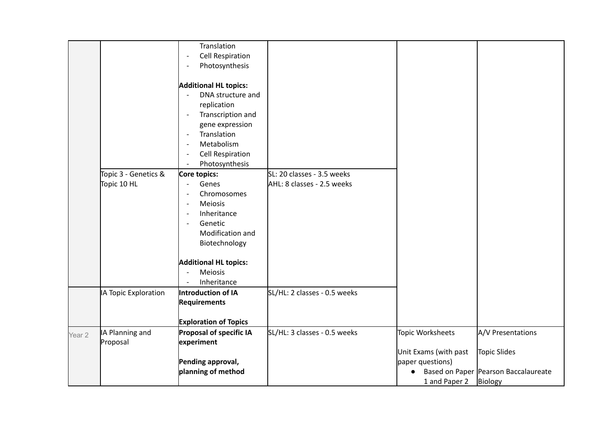|        |                      | Translation                                         |                              |                       |                                      |
|--------|----------------------|-----------------------------------------------------|------------------------------|-----------------------|--------------------------------------|
|        |                      | <b>Cell Respiration</b><br>$\overline{\phantom{a}}$ |                              |                       |                                      |
|        |                      | Photosynthesis<br>$\overline{a}$                    |                              |                       |                                      |
|        |                      |                                                     |                              |                       |                                      |
|        |                      | <b>Additional HL topics:</b>                        |                              |                       |                                      |
|        |                      | DNA structure and                                   |                              |                       |                                      |
|        |                      | replication                                         |                              |                       |                                      |
|        |                      | Transcription and<br>$\overline{\phantom{a}}$       |                              |                       |                                      |
|        |                      | gene expression                                     |                              |                       |                                      |
|        |                      | Translation<br>$\overline{\phantom{a}}$             |                              |                       |                                      |
|        |                      | Metabolism<br>$\overline{\phantom{a}}$              |                              |                       |                                      |
|        |                      | <b>Cell Respiration</b><br>$\overline{\phantom{a}}$ |                              |                       |                                      |
|        |                      | Photosynthesis<br>$\overline{\phantom{a}}$          |                              |                       |                                      |
|        | Topic 3 - Genetics & | Core topics:                                        | SL: 20 classes - 3.5 weeks   |                       |                                      |
|        | Topic 10 HL          | Genes<br>$\overline{\phantom{a}}$                   | AHL: 8 classes - 2.5 weeks   |                       |                                      |
|        |                      | Chromosomes<br>$\blacksquare$                       |                              |                       |                                      |
|        |                      | Meiosis<br>$\overline{\phantom{a}}$                 |                              |                       |                                      |
|        |                      | Inheritance<br>$\overline{\phantom{a}}$             |                              |                       |                                      |
|        |                      | Genetic<br>$\overline{\phantom{a}}$                 |                              |                       |                                      |
|        |                      | Modification and                                    |                              |                       |                                      |
|        |                      | Biotechnology                                       |                              |                       |                                      |
|        |                      |                                                     |                              |                       |                                      |
|        |                      | <b>Additional HL topics:</b>                        |                              |                       |                                      |
|        |                      | Meiosis                                             |                              |                       |                                      |
|        |                      | Inheritance<br>$\overline{\phantom{a}}$             |                              |                       |                                      |
|        | A Topic Exploration  | Introduction of IA                                  | SL/HL: 2 classes - 0.5 weeks |                       |                                      |
|        |                      | <b>Requirements</b>                                 |                              |                       |                                      |
|        |                      |                                                     |                              |                       |                                      |
|        |                      | <b>Exploration of Topics</b>                        |                              |                       |                                      |
| Year 2 | IA Planning and      | Proposal of specific IA                             | SL/HL: 3 classes - 0.5 weeks | Topic Worksheets      | A/V Presentations                    |
|        | Proposal             | experiment                                          |                              |                       |                                      |
|        |                      |                                                     |                              | Unit Exams (with past | Topic Slides                         |
|        |                      | Pending approval,                                   |                              | paper questions)      |                                      |
|        |                      | planning of method                                  |                              | $\bullet$             | Based on Paper Pearson Baccalaureate |
|        |                      |                                                     |                              | 1 and Paper 2         | Biology                              |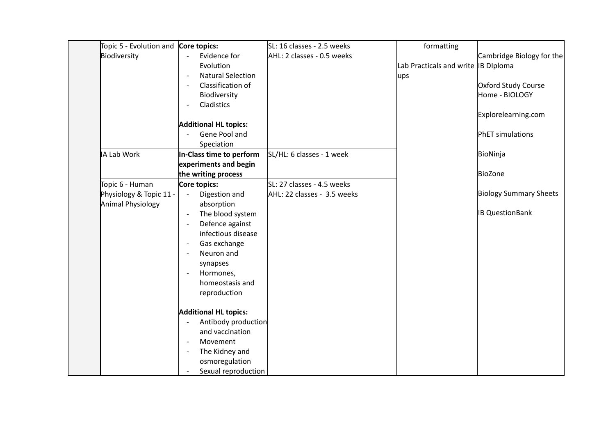| Topic 5 - Evolution and Core topics: |                                               | SL: 16 classes - 2.5 weeks  | formatting                          |                               |
|--------------------------------------|-----------------------------------------------|-----------------------------|-------------------------------------|-------------------------------|
| Biodiversity                         | Evidence for                                  | AHL: 2 classes - 0.5 weeks  |                                     | Cambridge Biology for the     |
|                                      | Evolution                                     |                             | Lab Practicals and write IB Diploma |                               |
|                                      | <b>Natural Selection</b>                      |                             | ups                                 |                               |
|                                      | Classification of<br>$\overline{\phantom{a}}$ |                             |                                     | Oxford Study Course           |
|                                      | Biodiversity                                  |                             |                                     | Home - BIOLOGY                |
|                                      | Cladistics<br>$\overline{\phantom{a}}$        |                             |                                     |                               |
|                                      |                                               |                             |                                     | Explorelearning.com           |
|                                      | <b>Additional HL topics:</b>                  |                             |                                     |                               |
|                                      | Gene Pool and                                 |                             |                                     | PhET simulations              |
|                                      | Speciation                                    |                             |                                     |                               |
| IA Lab Work                          | In-Class time to perform                      | SL/HL: 6 classes - 1 week   |                                     | BioNinja                      |
|                                      | experiments and begin                         |                             |                                     |                               |
|                                      | the writing process                           |                             |                                     | BioZone                       |
| Topic 6 - Human                      | Core topics:                                  | SL: 27 classes - 4.5 weeks  |                                     |                               |
| Physiology & Topic 11 -              | Digestion and<br>$\overline{\phantom{a}}$     | AHL: 22 classes - 3.5 weeks |                                     | <b>Biology Summary Sheets</b> |
| Animal Physiology                    | absorption                                    |                             |                                     | <b>IB QuestionBank</b>        |
|                                      | The blood system                              |                             |                                     |                               |
|                                      | Defence against<br>infectious disease         |                             |                                     |                               |
|                                      | Gas exchange<br>$\overline{\phantom{a}}$      |                             |                                     |                               |
|                                      | Neuron and<br>$\overline{\phantom{0}}$        |                             |                                     |                               |
|                                      | synapses                                      |                             |                                     |                               |
|                                      | Hormones,                                     |                             |                                     |                               |
|                                      | homeostasis and                               |                             |                                     |                               |
|                                      | reproduction                                  |                             |                                     |                               |
|                                      |                                               |                             |                                     |                               |
|                                      | <b>Additional HL topics:</b>                  |                             |                                     |                               |
|                                      | Antibody production                           |                             |                                     |                               |
|                                      | and vaccination                               |                             |                                     |                               |
|                                      | Movement                                      |                             |                                     |                               |
|                                      | The Kidney and                                |                             |                                     |                               |
|                                      | osmoregulation                                |                             |                                     |                               |
|                                      | Sexual reproduction                           |                             |                                     |                               |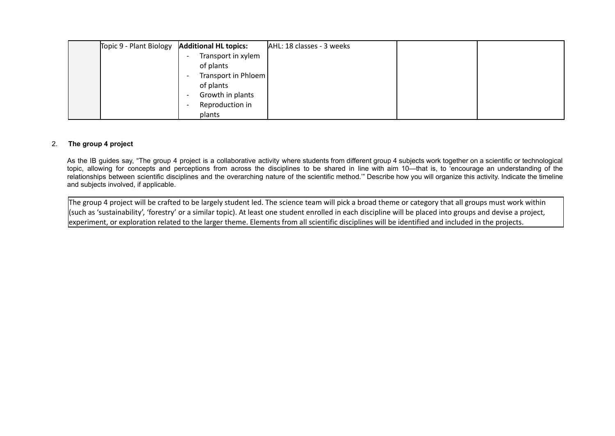| Topic 9 - Plant Biology | <b>Additional HL topics:</b>                    | AHL: 18 classes - 3 weeks |  |
|-------------------------|-------------------------------------------------|---------------------------|--|
|                         | Transport in xylem<br>$\overline{\phantom{a}}$  |                           |  |
|                         | of plants                                       |                           |  |
|                         | Transport in Phloem<br>$\overline{\phantom{a}}$ |                           |  |
|                         | of plants                                       |                           |  |
|                         | Growth in plants<br>$\overline{\phantom{a}}$    |                           |  |
|                         | Reproduction in                                 |                           |  |
|                         | plants                                          |                           |  |

## 2. **The group 4 project**

As the IB guides say, "The group 4 project is a collaborative activity where students from different group 4 subjects work together on a scientific or technological topic, allowing for concepts and perceptions from across the disciplines to be shared in line with aim 10—that is, to 'encourage an understanding of the relationships between scientific disciplines and the overarching nature of the scientific method.'" Describe how you will organize this activity. Indicate the timeline and subjects involved, if applicable.

The group 4 project will be crafted to be largely student led. The science team will pick a broad theme or category that all groups must work within (such as 'sustainability', 'forestry' or a similar topic). At least one student enrolled in each discipline will be placed into groups and devise a project, experiment, or exploration related to the larger theme. Elements from all scientific disciplines will be identified and included in the projects.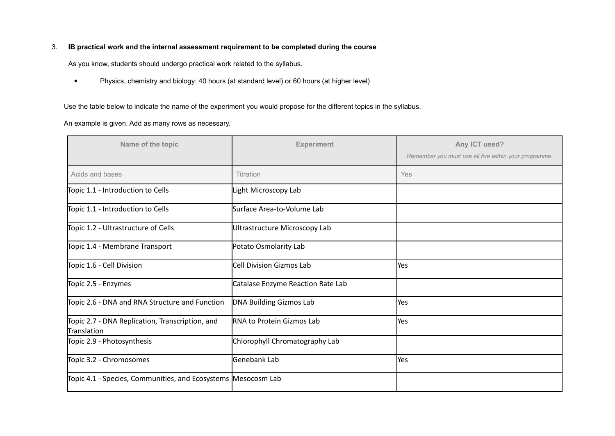# 3. **IB practical work and the internal assessment requirement to be completed during the course**

As you know, students should undergo practical work related to the syllabus.

• Physics, chemistry and biology: 40 hours (at standard level) or 60 hours (at higher level)

Use the table below to indicate the name of the experiment you would propose for the different topics in the syllabus.

## An example is given. Add as many rows as necessary.

| Name of the topic                                              | <b>Experiment</b>                 | Any ICT used?<br>Remember you must use all five within your programme. |
|----------------------------------------------------------------|-----------------------------------|------------------------------------------------------------------------|
| Acids and bases                                                | Titration                         | Yes                                                                    |
| Topic 1.1 - Introduction to Cells                              | Light Microscopy Lab              |                                                                        |
| Topic 1.1 - Introduction to Cells                              | Surface Area-to-Volume Lab        |                                                                        |
| Topic 1.2 - Ultrastructure of Cells                            | Ultrastructure Microscopy Lab     |                                                                        |
| Topic 1.4 - Membrane Transport                                 | Potato Osmolarity Lab             |                                                                        |
| Topic 1.6 - Cell Division                                      | Cell Division Gizmos Lab          | <b>Yes</b>                                                             |
| Topic 2.5 - Enzymes                                            | Catalase Enzyme Reaction Rate Lab |                                                                        |
| Topic 2.6 - DNA and RNA Structure and Function                 | DNA Building Gizmos Lab           | <b>Yes</b>                                                             |
| Topic 2.7 - DNA Replication, Transcription, and<br>Translation | <b>RNA to Protein Gizmos Lab</b>  | <b>Yes</b>                                                             |
| Topic 2.9 - Photosynthesis                                     | Chlorophyll Chromatography Lab    |                                                                        |
| Topic 3.2 - Chromosomes                                        | <b>Genebank Lab</b>               | <b>Yes</b>                                                             |
| Topic 4.1 - Species, Communities, and Ecosystems Mesocosm Lab  |                                   |                                                                        |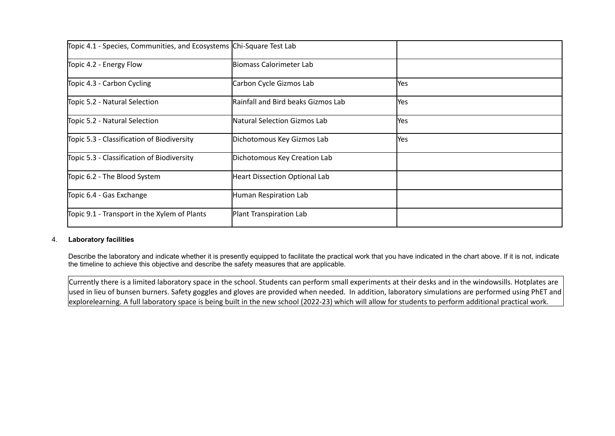| Topic 4.1 - Species, Communities, and Ecosystems Chi-Square Test Lab |                                      |              |
|----------------------------------------------------------------------|--------------------------------------|--------------|
| Topic 4.2 - Energy Flow                                              | Biomass Calorimeter Lab              |              |
| Topic 4.3 - Carbon Cycling                                           | Carbon Cycle Gizmos Lab              | <b>Yes</b>   |
| Topic 5.2 - Natural Selection                                        | Rainfall and Bird beaks Gizmos Lab   | <b>I</b> Yes |
| Topic 5.2 - Natural Selection                                        | Natural Selection Gizmos Lab         | <b>Yes</b>   |
| Topic 5.3 - Classification of Biodiversity                           | Dichotomous Key Gizmos Lab           | <b>I</b> Yes |
| Topic 5.3 - Classification of Biodiversity                           | Dichotomous Key Creation Lab         |              |
| Topic 6.2 - The Blood System                                         | <b>Heart Dissection Optional Lab</b> |              |
| Topic 6.4 - Gas Exchange                                             | Human Respiration Lab                |              |
| Topic 9.1 - Transport in the Xylem of Plants                         | Plant Transpiration Lab              |              |

# 4. **Laboratory facilities**

Describe the laboratory and indicate whether it is presently equipped to facilitate the practical work that you have indicated in the chart above. If it is not, indicate the timeline to achieve this objective and describe the safety measures that are applicable.

Currently there is a limited laboratory space in the school. Students can perform small experiments at their desks and in the windowsills. Hotplates are used in lieu of bunsen burners. Safety goggles and gloves are provided when needed. In addition, laboratory simulations are performed using PhET and explorelearning. A full laboratory space is being built in the new school (2022-23) which will allow for students to perform additional practical work.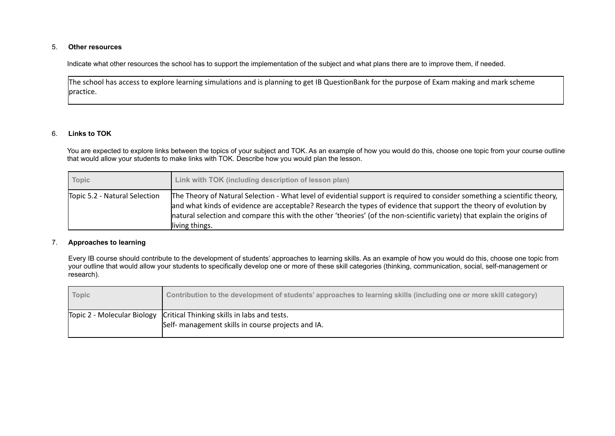#### 5. **Other resources**

Indicate what other resources the school has to support the implementation of the subject and what plans there are to improve them, if needed.

The school has access to explore learning simulations and is planning to get IB QuestionBank for the purpose of Exam making and mark scheme practice.

#### 6. **Links to TOK**

You are expected to explore links between the topics of your subject and TOK. As an example of how you would do this, choose one topic from your course outline that would allow your students to make links with TOK. Describe how you would plan the lesson.

| <b>Topic</b>                  | Link with TOK (including description of lesson plan)                                                                                                                                                                                                                                                                                                                                         |
|-------------------------------|----------------------------------------------------------------------------------------------------------------------------------------------------------------------------------------------------------------------------------------------------------------------------------------------------------------------------------------------------------------------------------------------|
| Topic 5.2 - Natural Selection | The Theory of Natural Selection - What level of evidential support is required to consider something a scientific theory,<br>and what kinds of evidence are acceptable? Research the types of evidence that support the theory of evolution by<br>natural selection and compare this with the other 'theories' (of the non-scientific variety) that explain the origins of<br>living things. |

## 7. **Approaches to learning**

Every IB course should contribute to the development of students' approaches to learning skills. As an example of how you would do this, choose one topic from your outline that would allow your students to specifically develop one or more of these skill categories (thinking, communication, social, self-management or research).

| <b>Topic</b> | Contribution to the development of students' approaches to learning skills (including one or more skill category)               |
|--------------|---------------------------------------------------------------------------------------------------------------------------------|
|              | Topic 2 - Molecular Biology   Critical Thinking skills in labs and tests.<br>Self- management skills in course projects and IA. |